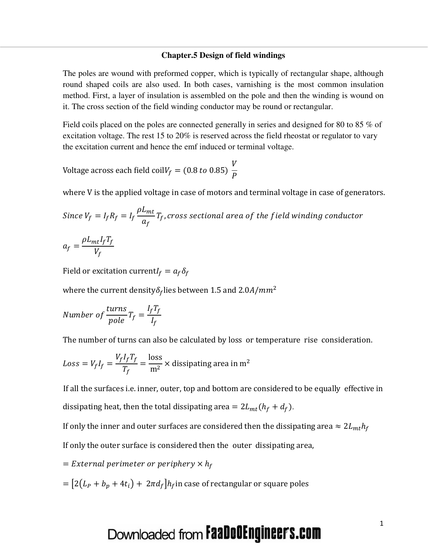#### **Chapter.5 Design of field windings**

The poles are wound with preformed copper, which is typically of rectangular shape, although round shaped coils are also used. In both cases, varnishing is the most common insulation method. First, a layer of insulation is assembled on the pole and then the winding is wound on it. The cross section of the field winding conductor may be round or rectangular.

Field coils placed on the poles are connected generally in series and designed for 80 to 85 % of excitation voltage. The rest 15 to 20% is reserved across the field rheostat or regulator to vary the excitation current and hence the emf induced or terminal voltage.

Voltage across each field coil $V_f = (0.8 \text{ to } 0.85)$ V  $\boldsymbol{P}$ 

where V is the applied voltage in case of motors and terminal voltage in case of generators.

Since 
$$
V_f = I_f R_f = I_f \frac{\rho L_{mt}}{a_f} T_f
$$
, cross sectional area of the field winding conductor

$$
a_f = \frac{\rho L_{mt} I_f T_f}{V_f}
$$

Field or excitation current $I_f = a_f \delta_f$ 

where the current density  $\delta_f$  lies between 1.5 and 2.0A/mm<sup>2</sup>

Number of 
$$
\frac{turns}{pole}T_f = \frac{I_f T_f}{I_f}
$$

The number of turns can also be calculated by loss or temperature rise consideration.

$$
Loss = V_f I_f = \frac{V_f I_f T_f}{T_f} = \frac{\text{loss}}{\text{m}^2} \times \text{dissipating area in m}^2
$$

If all the surfaces i.e. inner, outer, top and bottom are considered to be equally effective in dissipating heat, then the total dissipating area =  $2L_{mt}(h_f + d_f)$ .

If only the inner and outer surfaces are considered then the dissipating area  $\approx 2L_{mt}h_f$ 

If only the outer surface is considered then the outer dissipating area,

$$
= External\ perimeter\ or\ periphery\times h_f
$$

$$
= [2(L_P + b_p + 4t_i) + 2\pi d_f]h_f
$$
 in case of rectangular or square poles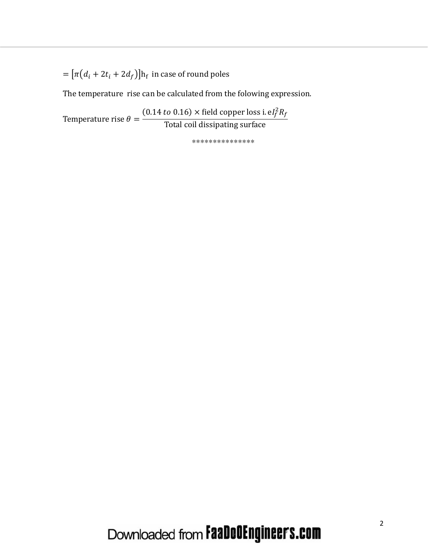=  $[\pi(d_i + 2t_i + 2d_f)]$ h<sub>f</sub> in case of round poles

The temperature rise can be calculated from the folowing expression.

Temperature rise  $\theta = \frac{(0.14 \text{ to } 0.16) \times \text{field copper loss i. } eI_f^2 R_f}{\text{Total coil dissipating surface}}$ 

\*\*\*\*\*\*\*\*\*\*\*\*\*\*\*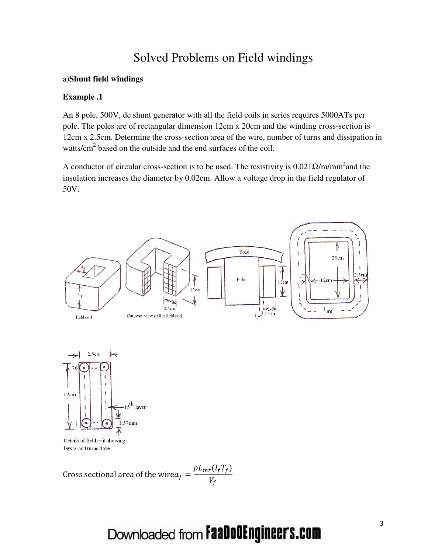#### Solved Problems on Field windings

#### a)**Shunt field windings**

#### **Example .1**

An 8 pole, 500V, dc shunt generator with all the field coils in series requires 5000ATs per pole. The poles are of rectangular dimension 12cm x 20cm and the winding cross-section is 12cm x 2.5cm. Determine the cross-section area of the wire, number of turns and dissipation in watts/cm<sup>2</sup> based on the outside and the end surfaces of the coil.

A conductor of circular cross-section is to be used. The resistivity is  $0.021\Omega/m/mm^2$  and the insulation increases the diameter by 0.02cm. Allow a voltage drop in the field regulator of 50V.



Cross sectional area of the wire $a_f =$  $\rho L_{mt}(I_fT_f)$  $V_f$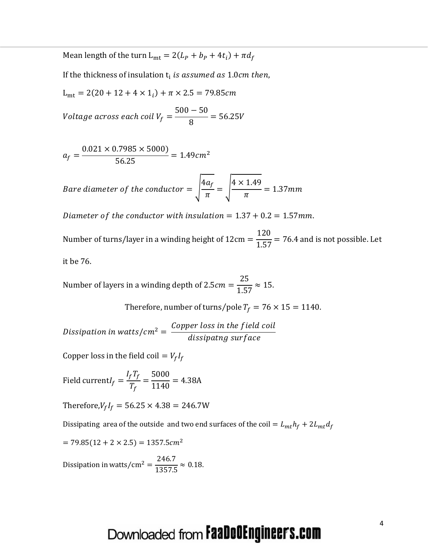Mean length of the turn  $L_{mt} = 2(L_P + b_P + 4t_i) + \pi d_f$ 

If the thickness of insulation  ${\rm t_i}$  *is assumed as*  $1.0cm$  *then,* 

 $L_{\text{mt}} = 2(20 + 12 + 4 \times 1_i) + \pi \times 2.5 = 79.85$ cm

Voltage across each coil V $_{f} =$  $500 - 50$ 8  $= 56.25V$ 

$$
a_f = \frac{0.021 \times 0.7985 \times 5000}{56.25} = 1.49 cm^2
$$

Bare diameter of the conductor  $=$   $\frac{4a_f}{\pi}$  $\pi$  $= \frac{4 \times 1.49}{\pi}$  $\pi$  $= 1.37mm$ 

Diameter of the conductor with insulation =  $1.37 + 0.2 = 1.57$  mm.

Number of turns/layer in a winding height of 12cm = 120  $\overline{1.57}$  = 76.4 and is not possible. Let it be 76.

Number of layers in a winding depth of 2.5 $cm =$ 25  $\frac{1}{1.57} \approx 15.$ 

Therefore, number of turns/pole  $T_f = 76 \times 15 = 1140$ .

Dissipation in watts/cm<sup>2</sup> =  $\frac{Copper \ loss \ in \ the \ field \ coil}{discination \ surface}$ dissipatng surf ace

Copper loss in the field coil  $= V_f I_f$ 

Field current $I_f =$  $I_fT_f$  $T_f$ = 5000  $\frac{1140}{1140}$  = 4.38A

Therefore, $V_f I_f = 56.25 \times 4.38 = 246.7W$ 

Dissipating area of the outside and two end surfaces of the coil =  $L_{mt} h_f + 2L_{mt} d_f$ 

 $= 79.85(12 + 2 \times 2.5) = 1357.5$ cm<sup>2</sup>

Dissipation in watts/cm<sup>2</sup> =  $\frac{246.7}{1357}$  $\frac{1357.5}{\times} \approx 0.18.$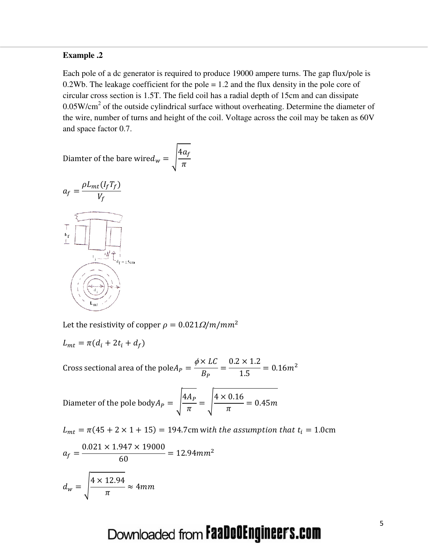#### **Example .2**

Each pole of a dc generator is required to produce 19000 ampere turns. The gap flux/pole is 0.2Wb. The leakage coefficient for the pole  $= 1.2$  and the flux density in the pole core of circular cross section is 1.5T. The field coil has a radial depth of 15cm and can dissipate  $0.05W/cm<sup>2</sup>$  of the outside cylindrical surface without overheating. Determine the diameter of the wire, number of turns and height of the coil. Voltage across the coil may be taken as 60V and space factor 0.7.

Diamter of the bare wire $d_w = \left| \frac{4a_f}{\pi} \right|$  $\pi$ 



Let the resistivity of copper  $\rho = 0.021 \Omega/m/mm^2$ 

$$
L_{mt} = \pi(d_i + 2t_i + d_f)
$$

Cross sectional area of the pole $A_P =$  $\phi \times LC$  $B_P$ =  $\frac{0.2 \times 1.2}{1.5} = 0.16m^2$ 

Diameter of the pole body
$$
A_P = \sqrt{\frac{4A_P}{\pi}} = \sqrt{\frac{4 \times 0.16}{\pi}} = 0.45m
$$

$$
L_{mt} = \pi (45 + 2 \times 1 + 15) = 194.7 \text{cm with the assumption that } t_i = 1.0 \text{cm}
$$
\n
$$
a_f = \frac{0.021 \times 1.947 \times 19000}{60} = 12.94 \text{mm}^2
$$
\n
$$
d_w = \sqrt{\frac{4 \times 12.94}{\pi}} \approx 4 \text{mm}
$$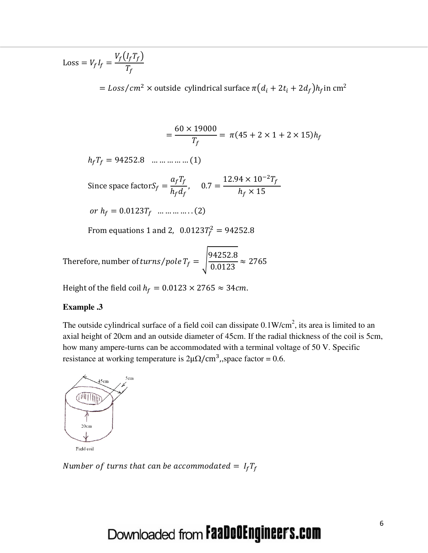$Loss = V_f I_f =$  $V_f(I_fT_f)$  $T_f$ 

=  $Loss / cm^2$  × outside cylindrical surface  $\pi (d_i + 2t_i + 2d_f) h_f$  in cm<sup>2</sup>

$$
= \frac{60 \times 19000}{T_f} = \pi (45 + 2 \times 1 + 2 \times 15) h_f
$$

 $h_f T_f = 94252.8$  … … … … … (1)

Since space factor $S_f =$  $a_f T_f$  $h_f d_f$  $, 0.7 =$  $12.94 \times 10^{-2} T_f$  $h_f \times 15$ 

or  $h_f = 0.0123T_f$  … … … … ... (2)

From equations 1 and 2,  $0.0123T_f^2 = 94252.8$ 

Therefore, number of turns/pole  $T_f = \left| \frac{94252.8}{0.0123} \right|$  $\frac{1}{0.0123} \approx 2765$ 

Height of the field coil  $h_f = 0.0123 \times 2765 \approx 34$ cm.

#### **Example .3**

The outside cylindrical surface of a field coil can dissipate  $0.1 \text{W/cm}^2$ , its area is limited to an axial height of 20cm and an outside diameter of 45cm. If the radial thickness of the coil is 5cm, how many ampere-turns can be accommodated with a terminal voltage of 50 V. Specific resistance at working temperature is  $2\mu\Omega/cm^3$ , space factor = 0.6.



Number of turns that can be accommodated =  $I_fT_f$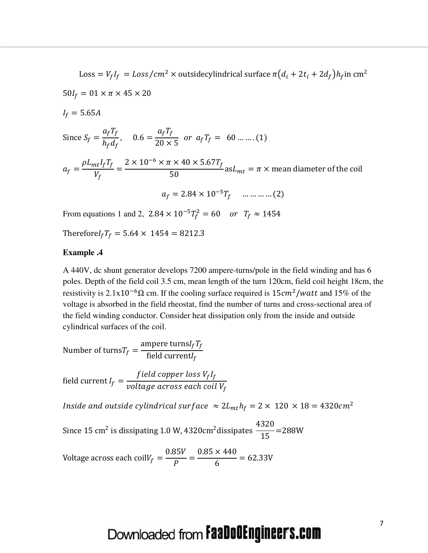Loss =  $V_f I_f = Loss / cm^2 \times$  outsidecylindrical surface  $\pi (d_i + 2t_i + 2d_f) h_f$  in cm<sup>2</sup>  $50I_f = 01 \times \pi \times 45 \times 20$  $I_f = 5.65A$ Since  $S_f =$  $a_f T_f$  $h_f d_f$  $, 0.6 =$  $a_f T_f$  $\frac{1}{20 \times 5}$  or  $a_f T_f = 60$  ... ... (1)  $a_f =$  $\rho L_{mt}$ I<sub>f</sub>T<sub>f</sub>  $V_f$ =  $2 \times 10^{-6} \times \pi \times 40 \times 5.67 T_f$  $\frac{1}{50}$  as  $L_{mt} = \pi \times$  mean diameter of the coil  $a_f = 2.84 \times 10^{-5} T_f \quad \dots \dots \dots \dots (2)$ From equations 1 and 2,  $2.84 \times 10^{-5} T_f^2 = 60$  or  $T_f \approx 1454$ 

Therefore $I_f T_f = 5.64 \times 1454 = 8212.3$ 

#### **Example .4**

A 440V, dc shunt generator develops 7200 ampere-turns/pole in the field winding and has 6 poles. Depth of the field coil 3.5 cm, mean length of the turn 120cm, field coil height 18cm, the resistivity is  $2.1x10^{-6}\Omega$  cm. If the cooling surface required is  $15cm^2/watt$  and  $15%$  of the voltage is absorbed in the field rheostat, find the number of turns and cross-sectional area of the field winding conductor. Consider heat dissipation only from the inside and outside cylindrical surfaces of the coil.

Number of turns $T_f =$ ampere turns $I_fT_f$ field current $I_f$ 

field current  $I_f =$ f ield copper loss  $V_f I_f$ voltage across each coil V $_{\it f}$ 

*Inside and outside cylindrical surface*  $\approx 2L_{mt}h_f = 2 \times 120 \times 18 = 4320 cm^2$ 

Since 15 cm<sup>2</sup> is dissipating 1.0 W, 4320cm<sup>2</sup> dissipates  $\frac{4320}{15}$  $\frac{1}{15}$  =288W

Voltage across each coil $V_f =$  $0.85V$  $\boldsymbol{P}$ =  $0.85 \times 440$ 6  $= 62.33V$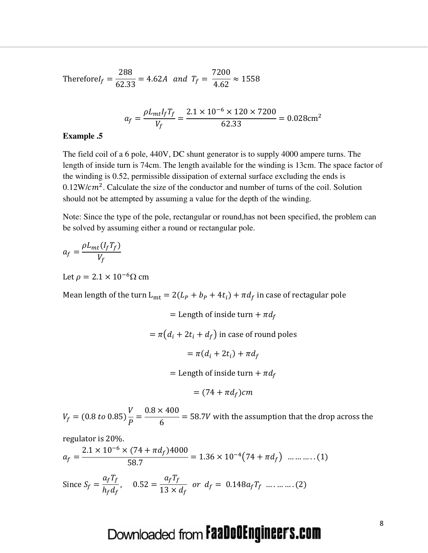Therefore 
$$
I_f = \frac{288}{62.33} = 4.62A
$$
 and  $T_f = \frac{7200}{4.62} \approx 1558$ 

$$
a_f = \frac{\rho L_{mt} I_f T_f}{V_f} = \frac{2.1 \times 10^{-6} \times 120 \times 7200}{62.33} = 0.028 \text{cm}^2
$$

#### **Example .5**

The field coil of a 6 pole, 440V, DC shunt generator is to supply 4000 ampere turns. The length of inside turn is 74cm. The length available for the winding is 13cm. The space factor of the winding is 0.52, permissible dissipation of external surface excluding the ends is  $0.12 \text{W/cm}^2$ . Calculate the size of the conductor and number of turns of the coil. Solution should not be attempted by assuming a value for the depth of the winding.

Note: Since the type of the pole, rectangular or round,has not been specified, the problem can be solved by assuming either a round or rectangular pole.

$$
a_f = \frac{\rho L_{mt}(I_f T_f)}{V_f}
$$

Let  $\rho = 2.1 \times 10^{-6} \Omega \text{ cm}$ 

Mean length of the turn  $L_{mt} = 2(L_P + b_P + 4t_i) + \pi d_f$  in case of rectagular pole

= Length of inside turn +  $\pi d_f$  $=\pi (d_i + 2t_i + d_f)$  in case of round poles  $= \pi(d_i + 2t_i) + \pi d_f$ = Length of inside turn +  $\pi d_f$  $= (74 + \pi d_f)$ cm

 $V_f = (0.8 \text{ to } 0.85)$ V  $\boldsymbol{P}$ =  $0.8 \times 400$ 6  $=$  58.7V with the assumption that the drop across the

regulator is 20%.

$$
a_f = \frac{2.1 \times 10^{-6} \times (74 + \pi d_f)4000}{58.7} = 1.36 \times 10^{-4} (74 + \pi d_f) \dots \dots \dots (1)
$$

Since 
$$
S_f = \frac{a_f T_f}{h_f d_f}
$$
,  $0.52 = \frac{a_f T_f}{13 \times d_f}$  or  $d_f = 0.148 a_f T_f$  ......... (2)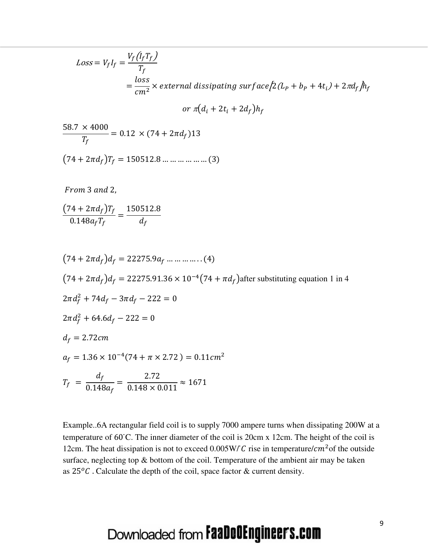$$
Loss = V_f I_f = \frac{V_f (I_f T_f)}{T_f}
$$
  
=  $\frac{loss}{cm^2}$  × external dissipating surface  $[2(L_P + b_P + 4t_i) + 2\pi d_f]h_f$   
or  $\pi(d_i + 2t_i + 2d_f)h_f$ 

$$
\frac{58.7 \times 4000}{T_f} = 0.12 \times (74 + 2\pi d_f) 13
$$

$$
(74 + 2\pi d_f) T_f = 150512.8 \dots \dots \dots \dots \dots \dots (3)
$$

From 3 and 2,

$$
\frac{(74+2\pi d_f)T_f}{0.148a_fT_f} = \frac{150512.8}{d_f}
$$

$$
(74 + 2\pi d_f)d_f = 22275.9a_f \dots \dots \dots \dots (4)
$$
  
\n
$$
(74 + 2\pi d_f)d_f = 22275.91.36 \times 10^{-4}(74 + \pi d_f)
$$
after substituting equation 1 in 4  
\n
$$
2\pi d_f^2 + 74d_f - 3\pi d_f - 222 = 0
$$
  
\n
$$
2\pi d_f^2 + 64.6d_f - 222 = 0
$$
  
\n
$$
d_f = 2.72cm
$$
  
\n
$$
a_f = 1.36 \times 10^{-4}(74 + \pi \times 2.72) = 0.11cm^2
$$
  
\n
$$
T_f = \frac{d_f}{0.148a_f} = \frac{2.72}{0.148 \times 0.011} \approx 1671
$$

Example..6A rectangular field coil is to supply 7000 ampere turns when dissipating 200W at a temperature of 60 ̇C. The inner diameter of the coil is 20cm x 12cm. The height of the coil is 12cm. The heat dissipation is not to exceed  $0.005W/C$  rise in temperature/ $cm<sup>2</sup>$  of the outside surface, neglecting top & bottom of the coil. Temperature of the ambient air may be taken as  $25\degree$ C. Calculate the depth of the coil, space factor & current density.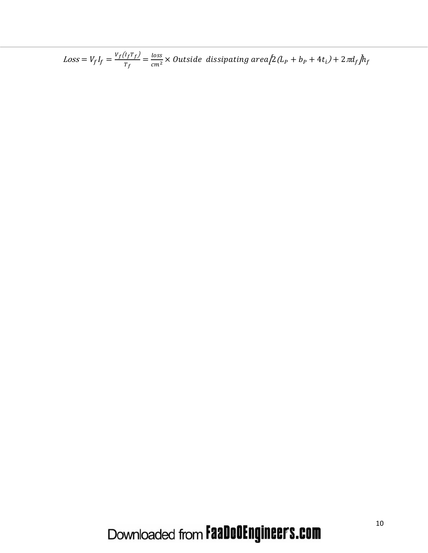$Loss = V_f I_f = \frac{v_f (I_f T_f)}{T_f} = \frac{loss}{cm^2} \times Outside\ dissipating\ area \Big[ 2 (L_P + b_P + 4 t_i) + 2 \pi d_f \Big] h_f$